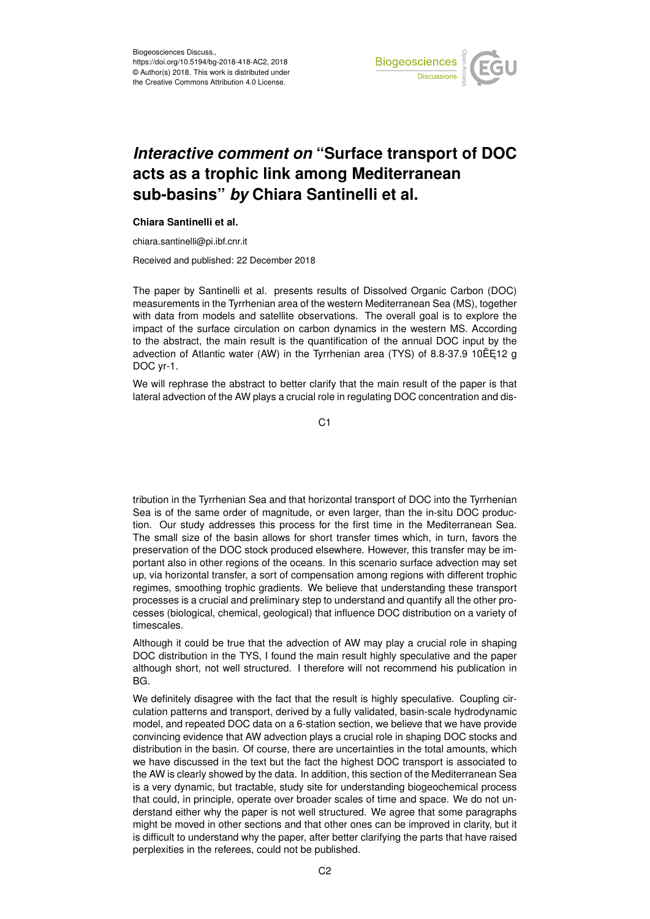

## *Interactive comment on* **"Surface transport of DOC acts as a trophic link among Mediterranean sub-basins"** *by* **Chiara Santinelli et al.**

## **Chiara Santinelli et al.**

chiara.santinelli@pi.ibf.cnr.it

Received and published: 22 December 2018

The paper by Santinelli et al. presents results of Dissolved Organic Carbon (DOC) measurements in the Tyrrhenian area of the western Mediterranean Sea (MS), together with data from models and satellite observations. The overall goal is to explore the impact of the surface circulation on carbon dynamics in the western MS. According to the abstract, the main result is the quantification of the annual DOC input by the advection of Atlantic water (AW) in the Tyrrhenian area (TYS) of 8.8-37.9 10 $E$ 512 g DOC yr-1.

We will rephrase the abstract to better clarify that the main result of the paper is that lateral advection of the AW plays a crucial role in regulating DOC concentration and dis-

C1

tribution in the Tyrrhenian Sea and that horizontal transport of DOC into the Tyrrhenian Sea is of the same order of magnitude, or even larger, than the in-situ DOC production. Our study addresses this process for the first time in the Mediterranean Sea. The small size of the basin allows for short transfer times which, in turn, favors the preservation of the DOC stock produced elsewhere. However, this transfer may be important also in other regions of the oceans. In this scenario surface advection may set up, via horizontal transfer, a sort of compensation among regions with different trophic regimes, smoothing trophic gradients. We believe that understanding these transport processes is a crucial and preliminary step to understand and quantify all the other processes (biological, chemical, geological) that influence DOC distribution on a variety of timescales.

Although it could be true that the advection of AW may play a crucial role in shaping DOC distribution in the TYS, I found the main result highly speculative and the paper although short, not well structured. I therefore will not recommend his publication in BG.

We definitely disagree with the fact that the result is highly speculative. Coupling circulation patterns and transport, derived by a fully validated, basin-scale hydrodynamic model, and repeated DOC data on a 6-station section, we believe that we have provide convincing evidence that AW advection plays a crucial role in shaping DOC stocks and distribution in the basin. Of course, there are uncertainties in the total amounts, which we have discussed in the text but the fact the highest DOC transport is associated to the AW is clearly showed by the data. In addition, this section of the Mediterranean Sea is a very dynamic, but tractable, study site for understanding biogeochemical process that could, in principle, operate over broader scales of time and space. We do not understand either why the paper is not well structured. We agree that some paragraphs might be moved in other sections and that other ones can be improved in clarity, but it is difficult to understand why the paper, after better clarifying the parts that have raised perplexities in the referees, could not be published.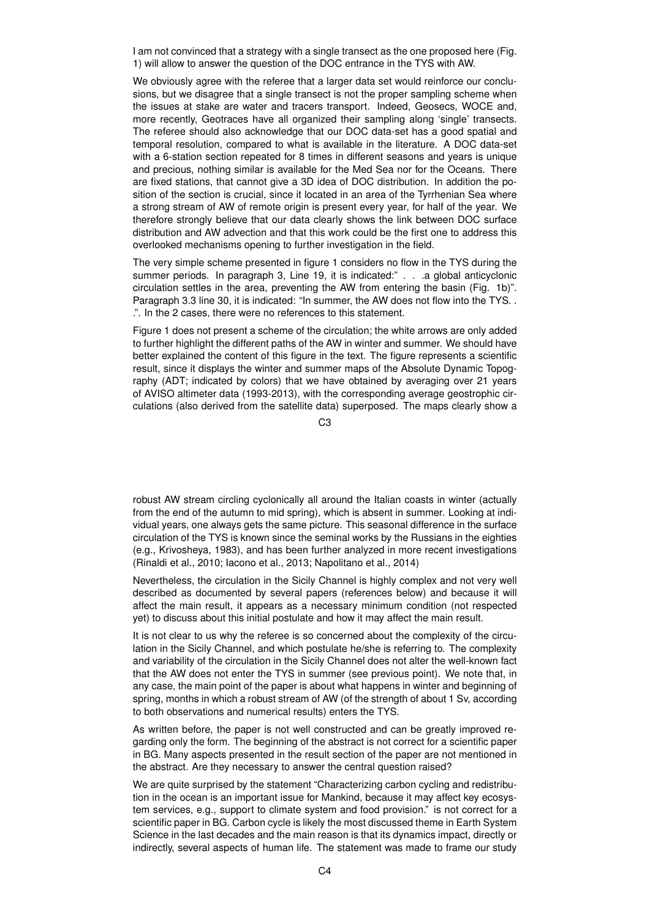I am not convinced that a strategy with a single transect as the one proposed here (Fig. 1) will allow to answer the question of the DOC entrance in the TYS with AW.

We obviously agree with the referee that a larger data set would reinforce our conclusions, but we disagree that a single transect is not the proper sampling scheme when the issues at stake are water and tracers transport. Indeed, Geosecs, WOCE and, more recently, Geotraces have all organized their sampling along 'single' transects. The referee should also acknowledge that our DOC data-set has a good spatial and temporal resolution, compared to what is available in the literature. A DOC data-set with a 6-station section repeated for 8 times in different seasons and years is unique and precious, nothing similar is available for the Med Sea nor for the Oceans. There are fixed stations, that cannot give a 3D idea of DOC distribution. In addition the position of the section is crucial, since it located in an area of the Tyrrhenian Sea where a strong stream of AW of remote origin is present every year, for half of the year. We therefore strongly believe that our data clearly shows the link between DOC surface distribution and AW advection and that this work could be the first one to address this overlooked mechanisms opening to further investigation in the field.

The very simple scheme presented in figure 1 considers no flow in the TYS during the summer periods. In paragraph 3, Line 19, it is indicated:" . . . a global anticyclonic circulation settles in the area, preventing the AW from entering the basin (Fig. 1b)". Paragraph 3.3 line 30, it is indicated: "In summer, the AW does not flow into the TYS. . .". In the 2 cases, there were no references to this statement.

Figure 1 does not present a scheme of the circulation; the white arrows are only added to further highlight the different paths of the AW in winter and summer. We should have better explained the content of this figure in the text. The figure represents a scientific result, since it displays the winter and summer maps of the Absolute Dynamic Topography (ADT; indicated by colors) that we have obtained by averaging over 21 years of AVISO altimeter data (1993-2013), with the corresponding average geostrophic circulations (also derived from the satellite data) superposed. The maps clearly show a

C3

robust AW stream circling cyclonically all around the Italian coasts in winter (actually from the end of the autumn to mid spring), which is absent in summer. Looking at individual years, one always gets the same picture. This seasonal difference in the surface circulation of the TYS is known since the seminal works by the Russians in the eighties (e.g., Krivosheya, 1983), and has been further analyzed in more recent investigations (Rinaldi et al., 2010; Iacono et al., 2013; Napolitano et al., 2014)

Nevertheless, the circulation in the Sicily Channel is highly complex and not very well described as documented by several papers (references below) and because it will affect the main result, it appears as a necessary minimum condition (not respected yet) to discuss about this initial postulate and how it may affect the main result.

It is not clear to us why the referee is so concerned about the complexity of the circulation in the Sicily Channel, and which postulate he/she is referring to. The complexity and variability of the circulation in the Sicily Channel does not alter the well-known fact that the AW does not enter the TYS in summer (see previous point). We note that, in any case, the main point of the paper is about what happens in winter and beginning of spring, months in which a robust stream of AW (of the strength of about 1 Sv, according to both observations and numerical results) enters the TYS.

As written before, the paper is not well constructed and can be greatly improved regarding only the form. The beginning of the abstract is not correct for a scientific paper in BG. Many aspects presented in the result section of the paper are not mentioned in the abstract. Are they necessary to answer the central question raised?

We are quite surprised by the statement "Characterizing carbon cycling and redistribution in the ocean is an important issue for Mankind, because it may affect key ecosystem services, e.g., support to climate system and food provision." is not correct for a scientific paper in BG. Carbon cycle is likely the most discussed theme in Earth System Science in the last decades and the main reason is that its dynamics impact, directly or indirectly, several aspects of human life. The statement was made to frame our study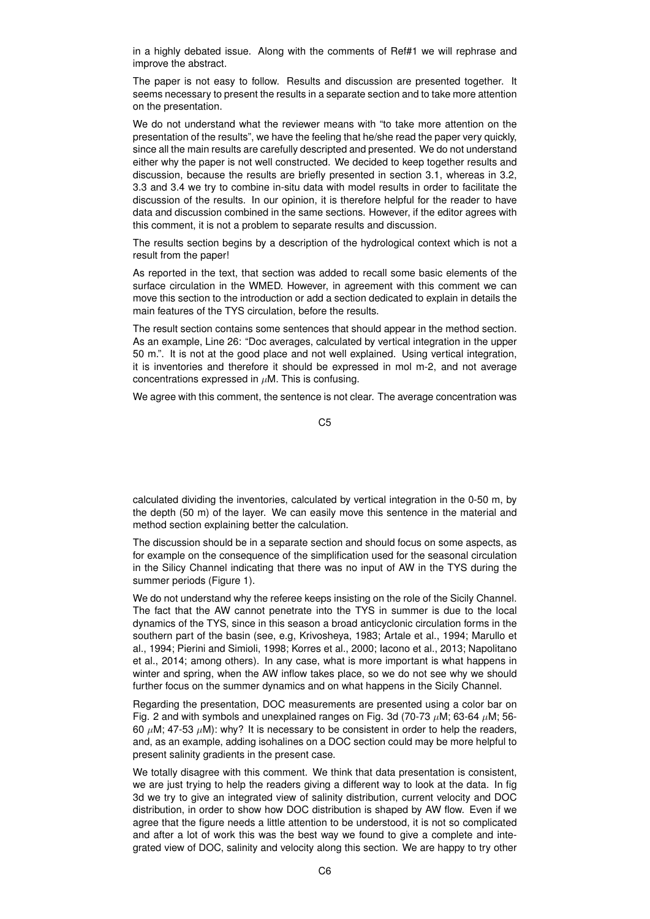in a highly debated issue. Along with the comments of Ref#1 we will rephrase and improve the abstract.

The paper is not easy to follow. Results and discussion are presented together. It seems necessary to present the results in a separate section and to take more attention on the presentation.

We do not understand what the reviewer means with "to take more attention on the presentation of the results", we have the feeling that he/she read the paper very quickly, since all the main results are carefully descripted and presented. We do not understand either why the paper is not well constructed. We decided to keep together results and discussion, because the results are briefly presented in section 3.1, whereas in 3.2, 3.3 and 3.4 we try to combine in-situ data with model results in order to facilitate the discussion of the results. In our opinion, it is therefore helpful for the reader to have data and discussion combined in the same sections. However, if the editor agrees with this comment, it is not a problem to separate results and discussion.

The results section begins by a description of the hydrological context which is not a result from the paper!

As reported in the text, that section was added to recall some basic elements of the surface circulation in the WMED. However, in agreement with this comment we can move this section to the introduction or add a section dedicated to explain in details the main features of the TYS circulation, before the results.

The result section contains some sentences that should appear in the method section. As an example, Line 26: "Doc averages, calculated by vertical integration in the upper 50 m.". It is not at the good place and not well explained. Using vertical integration, it is inventories and therefore it should be expressed in mol m-2, and not average concentrations expressed in  $\mu$ M. This is confusing.

We agree with this comment, the sentence is not clear. The average concentration was

C5

calculated dividing the inventories, calculated by vertical integration in the 0-50 m, by the depth (50 m) of the layer. We can easily move this sentence in the material and method section explaining better the calculation.

The discussion should be in a separate section and should focus on some aspects, as for example on the consequence of the simplification used for the seasonal circulation in the Silicy Channel indicating that there was no input of AW in the TYS during the summer periods (Figure 1).

We do not understand why the referee keeps insisting on the role of the Sicily Channel. The fact that the AW cannot penetrate into the TYS in summer is due to the local dynamics of the TYS, since in this season a broad anticyclonic circulation forms in the southern part of the basin (see, e.g, Krivosheya, 1983; Artale et al., 1994; Marullo et al., 1994; Pierini and Simioli, 1998; Korres et al., 2000; Iacono et al., 2013; Napolitano et al., 2014; among others). In any case, what is more important is what happens in winter and spring, when the AW inflow takes place, so we do not see why we should further focus on the summer dynamics and on what happens in the Sicily Channel.

Regarding the presentation, DOC measurements are presented using a color bar on Fig. 2 and with symbols and unexplained ranges on Fig. 3d (70-73  $\mu$ M; 63-64  $\mu$ M; 56-60  $\mu$ M; 47-53  $\mu$ M): why? It is necessary to be consistent in order to help the readers, and, as an example, adding isohalines on a DOC section could may be more helpful to present salinity gradients in the present case.

We totally disagree with this comment. We think that data presentation is consistent, we are just trying to help the readers giving a different way to look at the data. In fig 3d we try to give an integrated view of salinity distribution, current velocity and DOC distribution, in order to show how DOC distribution is shaped by AW flow. Even if we agree that the figure needs a little attention to be understood, it is not so complicated and after a lot of work this was the best way we found to give a complete and integrated view of DOC, salinity and velocity along this section. We are happy to try other